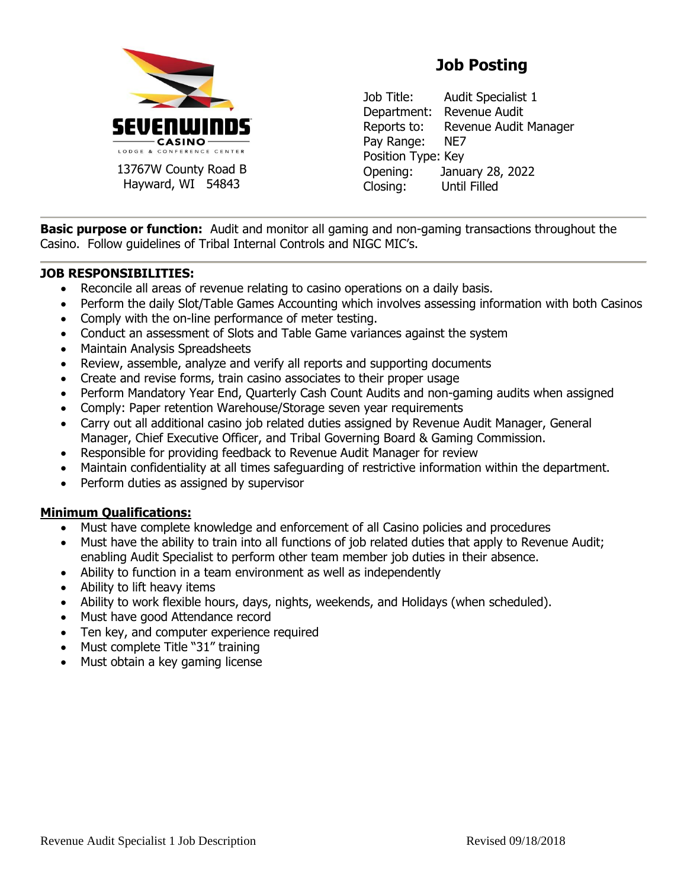

13767W County Road B Hayward, WI 54843

## **Job Posting**

Job Title: Audit Specialist 1 Department: Revenue Audit Reports to: Revenue Audit Manager Pay Range: NE7 Position Type: Key Opening: January 28, 2022 Closing: Until Filled

**Basic purpose or function:** Audit and monitor all gaming and non-gaming transactions throughout the Casino. Follow guidelines of Tribal Internal Controls and NIGC MIC's.

## **JOB RESPONSIBILITIES:**

- Reconcile all areas of revenue relating to casino operations on a daily basis.
- Perform the daily Slot/Table Games Accounting which involves assessing information with both Casinos
- Comply with the on-line performance of meter testing.
- Conduct an assessment of Slots and Table Game variances against the system
- Maintain Analysis Spreadsheets
- Review, assemble, analyze and verify all reports and supporting documents
- Create and revise forms, train casino associates to their proper usage
- Perform Mandatory Year End, Quarterly Cash Count Audits and non-gaming audits when assigned
- Comply: Paper retention Warehouse/Storage seven year requirements
- Carry out all additional casino job related duties assigned by Revenue Audit Manager, General Manager, Chief Executive Officer, and Tribal Governing Board & Gaming Commission.
- Responsible for providing feedback to Revenue Audit Manager for review
- Maintain confidentiality at all times safeguarding of restrictive information within the department.
- Perform duties as assigned by supervisor

## **Minimum Qualifications:**

- Must have complete knowledge and enforcement of all Casino policies and procedures
- Must have the ability to train into all functions of job related duties that apply to Revenue Audit; enabling Audit Specialist to perform other team member job duties in their absence.
- Ability to function in a team environment as well as independently
- Ability to lift heavy items
- Ability to work flexible hours, days, nights, weekends, and Holidays (when scheduled).
- Must have good Attendance record
- Ten key, and computer experience required
- Must complete Title "31" training
- Must obtain a key gaming license